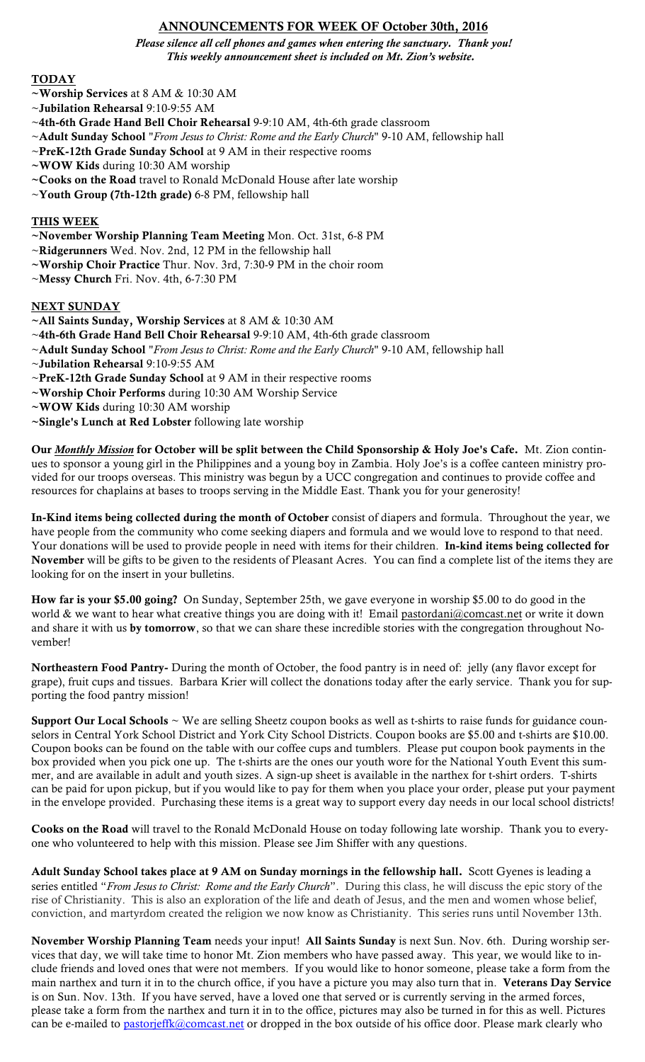# ANNOUNCEMENTS FOR WEEK OF October 30th, 2016

*Please silence all cell phones and games when entering the sanctuary. Thank you! This weekly announcement sheet is included on Mt. Zion's website.*

# **TODAY**

- ~Worship Services at 8 AM & 10:30 AM
- ~Jubilation Rehearsal 9:10-9:55 AM
- ~4th-6th Grade Hand Bell Choir Rehearsal 9-9:10 AM, 4th-6th grade classroom
- ~Adult Sunday School "*From Jesus to Christ: Rome and the Early Church*" 9-10 AM, fellowship hall
- ~PreK-12th Grade Sunday School at 9 AM in their respective rooms
- ~WOW Kids during 10:30 AM worship
- ~Cooks on the Road travel to Ronald McDonald House after late worship
- ~Youth Group (7th-12th grade) 6-8 PM, fellowship hall

# THIS WEEK

- ~November Worship Planning Team Meeting Mon. Oct. 31st, 6-8 PM
- ~Ridgerunners Wed. Nov. 2nd, 12 PM in the fellowship hall
- ~Worship Choir Practice Thur. Nov. 3rd, 7:30-9 PM in the choir room
- ~Messy Church Fri. Nov. 4th, 6-7:30 PM

## NEXT SUNDAY

- ~All Saints Sunday, Worship Services at 8 AM & 10:30 AM
- ~4th-6th Grade Hand Bell Choir Rehearsal 9-9:10 AM, 4th-6th grade classroom
- ~Adult Sunday School "*From Jesus to Christ: Rome and the Early Church*" 9-10 AM, fellowship hall
- ~Jubilation Rehearsal 9:10-9:55 AM
- ~PreK-12th Grade Sunday School at 9 AM in their respective rooms
- ~Worship Choir Performs during 10:30 AM Worship Service
- ~WOW Kids during 10:30 AM worship
- ~Single's Lunch at Red Lobster following late worship

Our *Monthly Mission* for October will be split between the Child Sponsorship & Holy Joe's Cafe. Mt. Zion continues to sponsor a young girl in the Philippines and a young boy in Zambia. Holy Joe's is a coffee canteen ministry provided for our troops overseas. This ministry was begun by a UCC congregation and continues to provide coffee and resources for chaplains at bases to troops serving in the Middle East. Thank you for your generosity!

In-Kind items being collected during the month of October consist of diapers and formula. Throughout the year, we have people from the community who come seeking diapers and formula and we would love to respond to that need. Your donations will be used to provide people in need with items for their children. In-kind items being collected for November will be gifts to be given to the residents of Pleasant Acres. You can find a complete list of the items they are looking for on the insert in your bulletins.

How far is your \$5.00 going? On Sunday, September 25th, we gave everyone in worship \$5.00 to do good in the world & we want to hear what creative things you are doing with it! Email pastordani@comcast.net or write it down and share it with us by tomorrow, so that we can share these incredible stories with the congregation throughout November!

Northeastern Food Pantry- During the month of October, the food pantry is in need of: jelly (any flavor except for grape), fruit cups and tissues. Barbara Krier will collect the donations today after the early service. Thank you for supporting the food pantry mission!

Support Our Local Schools  $\sim$  We are selling Sheetz coupon books as well as t-shirts to raise funds for guidance counselors in Central York School District and York City School Districts. Coupon books are \$5.00 and t-shirts are \$10.00. Coupon books can be found on the table with our coffee cups and tumblers. Please put coupon book payments in the box provided when you pick one up. The t-shirts are the ones our youth wore for the National Youth Event this summer, and are available in adult and youth sizes. A sign-up sheet is available in the narthex for t-shirt orders. T-shirts can be paid for upon pickup, but if you would like to pay for them when you place your order, please put your payment in the envelope provided. Purchasing these items is a great way to support every day needs in our local school districts!

Cooks on the Road will travel to the Ronald McDonald House on today following late worship. Thank you to everyone who volunteered to help with this mission. Please see Jim Shiffer with any questions.

Adult Sunday School takes place at 9 AM on Sunday mornings in the fellowship hall. Scott Gyenes is leading a series entitled "*From Jesus to Christ: Rome and the Early Church*". During this class, he will discuss the epic story of the rise of Christianity. This is also an exploration of the life and death of Jesus, and the men and women whose belief, conviction, and martyrdom created the religion we now know as Christianity. This series runs until November 13th.

November Worship Planning Team needs your input! All Saints Sunday is next Sun. Nov. 6th. During worship services that day, we will take time to honor Mt. Zion members who have passed away. This year, we would like to include friends and loved ones that were not members. If you would like to honor someone, please take a form from the main narthex and turn it in to the church office, if you have a picture you may also turn that in. Veterans Day Service is on Sun. Nov. 13th. If you have served, have a loved one that served or is currently serving in the armed forces, please take a form from the narthex and turn it in to the office, pictures may also be turned in for this as well. Pictures can be e-mailed to pastorjeffk@comcast.net or dropped in the box outside of his office door. Please mark clearly who